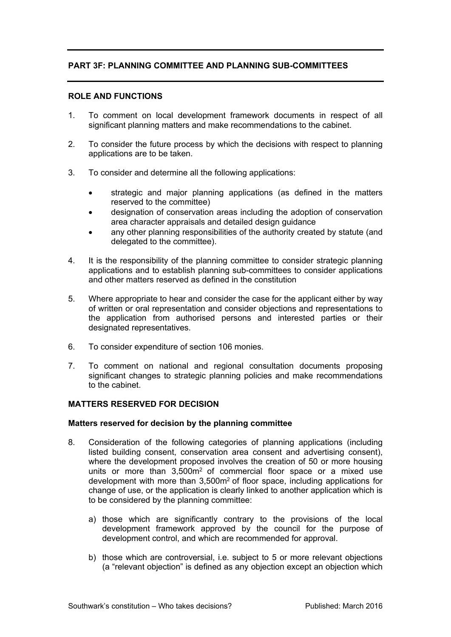# **PART 3F: PLANNING COMMITTEE AND PLANNING SUB-COMMITTEES**

### **ROLE AND FUNCTIONS**

- 1. To comment on local development framework documents in respect of all significant planning matters and make recommendations to the cabinet.
- 2. To consider the future process by which the decisions with respect to planning applications are to be taken.
- 3. To consider and determine all the following applications:
	- strategic and major planning applications (as defined in the matters reserved to the committee)
	- designation of conservation areas including the adoption of conservation area character appraisals and detailed design guidance
	- any other planning responsibilities of the authority created by statute (and delegated to the committee).
- 4. It is the responsibility of the planning committee to consider strategic planning applications and to establish planning sub-committees to consider applications and other matters reserved as defined in the constitution
- 5. Where appropriate to hear and consider the case for the applicant either by way of written or oral representation and consider objections and representations to the application from authorised persons and interested parties or their designated representatives.
- 6. To consider expenditure of section 106 monies.
- 7. To comment on national and regional consultation documents proposing significant changes to strategic planning policies and make recommendations to the cabinet.

## **MATTERS RESERVED FOR DECISION**

#### **Matters reserved for decision by the planning committee**

- 8. Consideration of the following categories of planning applications (including listed building consent, conservation area consent and advertising consent), where the development proposed involves the creation of 50 or more housing units or more than 3,500m<sup>2</sup> of commercial floor space or a mixed use development with more than 3,500m<sup>2</sup> of floor space, including applications for change of use, or the application is clearly linked to another application which is to be considered by the planning committee:
	- a) those which are significantly contrary to the provisions of the local development framework approved by the council for the purpose of development control, and which are recommended for approval.
	- b) those which are controversial, i.e. subject to 5 or more relevant objections (a "relevant objection" is defined as any objection except an objection which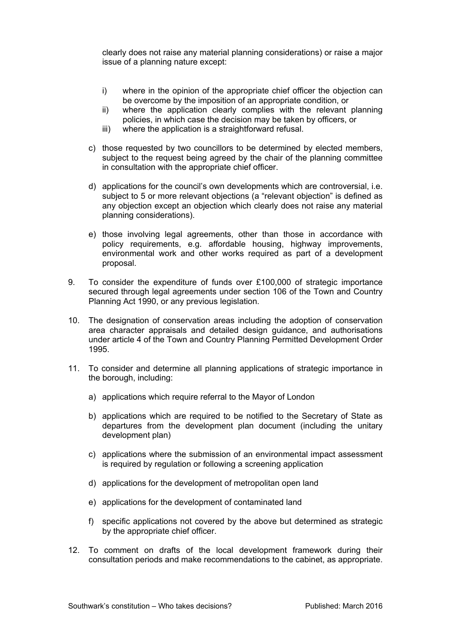clearly does not raise any material planning considerations) or raise a major issue of a planning nature except:

- i) where in the opinion of the appropriate chief officer the objection can be overcome by the imposition of an appropriate condition, or
- ii) where the application clearly complies with the relevant planning policies, in which case the decision may be taken by officers, or
- iii) where the application is a straightforward refusal.
- c) those requested by two councillors to be determined by elected members, subject to the request being agreed by the chair of the planning committee in consultation with the appropriate chief officer.
- d) applications for the council's own developments which are controversial, i.e. subject to 5 or more relevant objections (a "relevant objection" is defined as any objection except an objection which clearly does not raise any material planning considerations).
- e) those involving legal agreements, other than those in accordance with policy requirements, e.g. affordable housing, highway improvements, environmental work and other works required as part of a development proposal.
- 9. To consider the expenditure of funds over £100,000 of strategic importance secured through legal agreements under section 106 of the Town and Country Planning Act 1990, or any previous legislation.
- 10. The designation of conservation areas including the adoption of conservation area character appraisals and detailed design guidance, and authorisations under article 4 of the Town and Country Planning Permitted Development Order 1995.
- 11. To consider and determine all planning applications of strategic importance in the borough, including:
	- a) applications which require referral to the Mayor of London
	- b) applications which are required to be notified to the Secretary of State as departures from the development plan document (including the unitary development plan)
	- c) applications where the submission of an environmental impact assessment is required by regulation or following a screening application
	- d) applications for the development of metropolitan open land
	- e) applications for the development of contaminated land
	- f) specific applications not covered by the above but determined as strategic by the appropriate chief officer.
- 12. To comment on drafts of the local development framework during their consultation periods and make recommendations to the cabinet, as appropriate.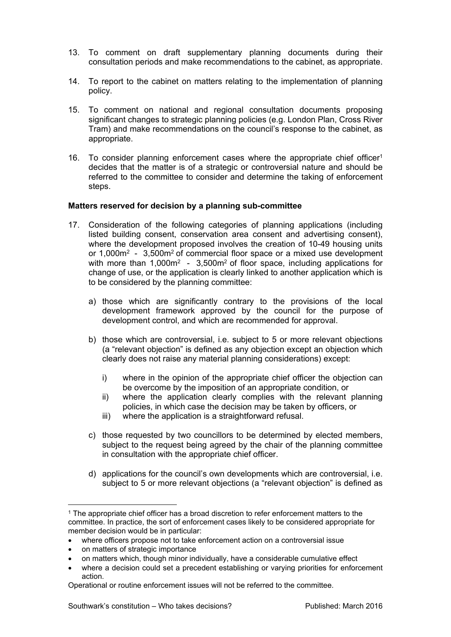- 13. To comment on draft supplementary planning documents during their consultation periods and make recommendations to the cabinet, as appropriate.
- 14. To report to the cabinet on matters relating to the implementation of planning policy.
- 15. To comment on national and regional consultation documents proposing significant changes to strategic planning policies (e.g. London Plan, Cross River Tram) and make recommendations on the council's response to the cabinet, as appropriate.
- 16. To consider planning enforcement cases where the appropriate chief officer<sup>1</sup> decides that the matter is of a strategic or controversial nature and should be referred to the committee to consider and determine the taking of enforcement steps.

### **Matters reserved for decision by a planning sub-committee**

- 17. Consideration of the following categories of planning applications (including listed building consent, conservation area consent and advertising consent), where the development proposed involves the creation of 10-49 housing units or 1,000m<sup>2</sup> - 3,500m<sup>2</sup> of commercial floor space or a mixed use development with more than  $1,000m^2 - 3,500m^2$  of floor space, including applications for change of use, or the application is clearly linked to another application which is to be considered by the planning committee:
	- a) those which are significantly contrary to the provisions of the local development framework approved by the council for the purpose of development control, and which are recommended for approval.
	- b) those which are controversial, i.e. subject to 5 or more relevant objections (a "relevant objection" is defined as any objection except an objection which clearly does not raise any material planning considerations) except:
		- i) where in the opinion of the appropriate chief officer the objection can be overcome by the imposition of an appropriate condition, or
		- ii) where the application clearly complies with the relevant planning policies, in which case the decision may be taken by officers, or
		- iii) where the application is a straightforward refusal.
	- c) those requested by two councillors to be determined by elected members, subject to the request being agreed by the chair of the planning committee in consultation with the appropriate chief officer.
	- d) applications for the council's own developments which are controversial, i.e. subject to 5 or more relevant objections (a "relevant objection" is defined as

- where officers propose not to take enforcement action on a controversial issue
- on matters of strategic importance

<sup>&</sup>lt;sup>1</sup> The appropriate chief officer has a broad discretion to refer enforcement matters to the committee. In practice, the sort of enforcement cases likely to be considered appropriate for member decision would be in particular:

on matters which, though minor individually, have a considerable cumulative effect

where a decision could set a precedent establishing or varying priorities for enforcement action.

Operational or routine enforcement issues will not be referred to the committee.